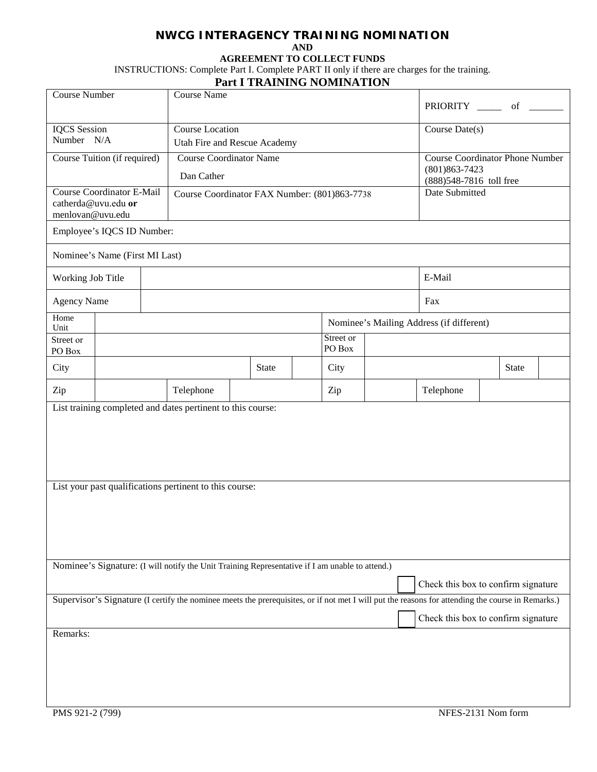## **NWCG INTERAGENCY TRAINING NOMINATION AND**

**AGREEMENT TO COLLECT FUNDS**

INSTRUCTIONS: Complete Part I. Complete PART II only if there are charges for the training.

## **Part I TRAINING NOMINATION**

| Course Number                                           |                                | <b>Course Name</b> |                                                                                                                                                   |                                        |              |  |                     | PRIORITY _______ of |                                            |                                          |              |  |  |
|---------------------------------------------------------|--------------------------------|--------------------|---------------------------------------------------------------------------------------------------------------------------------------------------|----------------------------------------|--------------|--|---------------------|---------------------|--------------------------------------------|------------------------------------------|--------------|--|--|
| <b>IQCS</b> Session                                     |                                | Course Location    | Course Date(s)                                                                                                                                    |                                        |              |  |                     |                     |                                            |                                          |              |  |  |
| Number N/A                                              |                                |                    | Utah Fire and Rescue Academy                                                                                                                      |                                        |              |  |                     |                     |                                            |                                          |              |  |  |
| Course Tuition (if required)                            |                                |                    | <b>Course Coordinator Name</b>                                                                                                                    | <b>Course Coordinator Phone Number</b> |              |  |                     |                     |                                            |                                          |              |  |  |
|                                                         |                                |                    | Dan Cather                                                                                                                                        |                                        |              |  |                     |                     | $(801)863 - 7423$                          |                                          |              |  |  |
| <b>Course Coordinator E-Mail</b>                        |                                |                    | Course Coordinator FAX Number: (801)863-7738                                                                                                      |                                        |              |  |                     |                     | (888) 548-7816 toll free<br>Date Submitted |                                          |              |  |  |
| catherda@uvu.edu or<br>menlovan@uvu.edu                 |                                |                    |                                                                                                                                                   |                                        |              |  |                     |                     |                                            |                                          |              |  |  |
|                                                         | Employee's IQCS ID Number:     |                    |                                                                                                                                                   |                                        |              |  |                     |                     |                                            |                                          |              |  |  |
|                                                         | Nominee's Name (First MI Last) |                    |                                                                                                                                                   |                                        |              |  |                     |                     |                                            |                                          |              |  |  |
|                                                         | Working Job Title              |                    |                                                                                                                                                   |                                        |              |  |                     |                     | E-Mail                                     |                                          |              |  |  |
|                                                         | <b>Agency Name</b>             |                    |                                                                                                                                                   |                                        |              |  |                     |                     |                                            | Fax                                      |              |  |  |
| Home<br>Unit                                            |                                |                    |                                                                                                                                                   |                                        |              |  |                     |                     |                                            | Nominee's Mailing Address (if different) |              |  |  |
| Street or<br>PO Box                                     |                                |                    |                                                                                                                                                   |                                        |              |  | Street or<br>PO Box |                     |                                            |                                          |              |  |  |
| City                                                    |                                |                    |                                                                                                                                                   |                                        | <b>State</b> |  | City                |                     |                                            |                                          | <b>State</b> |  |  |
| Zip                                                     |                                |                    | Telephone                                                                                                                                         |                                        |              |  | Zip                 |                     | Telephone                                  |                                          |              |  |  |
|                                                         |                                |                    | List training completed and dates pertinent to this course:                                                                                       |                                        |              |  |                     |                     |                                            |                                          |              |  |  |
| List your past qualifications pertinent to this course: |                                |                    |                                                                                                                                                   |                                        |              |  |                     |                     |                                            |                                          |              |  |  |
|                                                         |                                |                    | Nominee's Signature: (I will notify the Unit Training Representative if I am unable to attend.)                                                   |                                        |              |  |                     |                     |                                            |                                          |              |  |  |
|                                                         |                                |                    |                                                                                                                                                   |                                        |              |  |                     |                     | Check this box to confirm signature        |                                          |              |  |  |
|                                                         |                                |                    | Supervisor's Signature (I certify the nominee meets the prerequisites, or if not met I will put the reasons for attending the course in Remarks.) |                                        |              |  |                     |                     | Check this box to confirm signature        |                                          |              |  |  |
| Remarks:                                                |                                |                    |                                                                                                                                                   |                                        |              |  |                     |                     |                                            |                                          |              |  |  |
|                                                         |                                |                    |                                                                                                                                                   |                                        |              |  |                     |                     |                                            |                                          |              |  |  |
|                                                         |                                |                    |                                                                                                                                                   |                                        |              |  |                     |                     |                                            |                                          |              |  |  |
| NFES-2131 Nom form<br>PMS 921-2 (799)                   |                                |                    |                                                                                                                                                   |                                        |              |  |                     |                     |                                            |                                          |              |  |  |